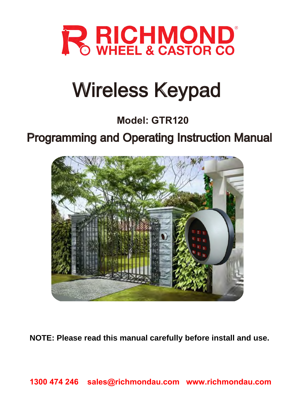

# Wireless Keypad

### **Model: GTR120**

## Programming and Operating Instruction Manual



**NOTE: Please read this manual carefully before install and use.**

**1300 474 246 sales@richmondau.com www.richmondau.com**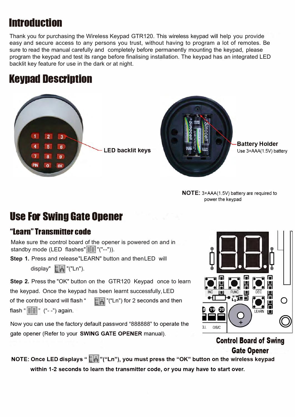### **Introduction**

Thank you for purchasing the Wireless Keypad GTR120. This wireless keypad will help you provide easy and secure access to any persons you trust, without having to program a lot of remotes. Be sure to read the manual carefully and completely before permanently mounting the keypad, please program the keypad and test its range before finalising installation. The keypad has an integrated LED backlit key feature for use in the dark or at night.

### **Keypad Description**





**NOTE:** 3xAAA(1.5V) battery are required to power the keypad

### **Use For Swing Gate Opener**

#### **.. learn" Transmitter code**

Make sure the control board of the opener is powered on and in standby mode (LED flashes" "("--")).

**Step 1.** Press and release "LEARN" button and then LED will

display" **FA** "("Ln").

**Step 2.** Press the "OK" button on the GTR120 Keypad once to learn

the keypad. Once the keypad has been learnt successfully, LED

of the control board will flash " **TH** "("Ln") for 2 seconds and then

flash" **lala]"** ("--") again.

Now you can use the factory default password "888888" to operate the gate opener (Refer to your **SWING GATE OPENER** manual).



**Control Board of Swing Gate Opener** 

**NOTE: Once LED displays " In "("Ln"), you must press the "OK" button on the wireless keypad within 1-2 seconds to learn the transmitter code, or you may have to start over.**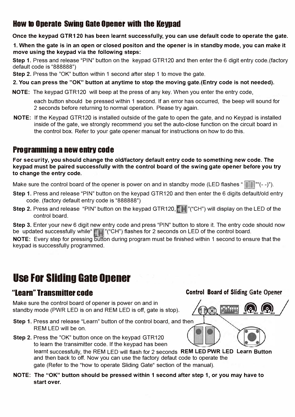#### **How to Operate Swing Gate Opener with the Keypad**

**Once the keypad GTR120 has been learnt successfully, you can use default code to operate the gate.**

**1. When the gate is in an open or closed positon and the opener is in standby mode, you can make it move using the keypad via the following steps:**

**Step 1.** Press and release "PIN" button on the keypad GTR120 and then enter the 6 digit entry code.(factory default code is "888888")

**Step 2.** Press the "OK" button within 1 second after step 1 to move the gate.

**2. You can press the "OK" button at anytime to stop the moving gate.(Entry code is not needed).**

**NOTE:** The keypad GTR120 will beep at the press of any key. When you enter the entry code,

each button should be pressed within 1 second. If an error has occurred, the beep will sound for 2 seconds before returning to normal operation. Please try again.

**NOTE:** If the Keypad GTR120 is installed outside of the gate to open the gate, and no Keypad is installed inside of the gate, we strongly recommend you set the auto-close function on the circuit board in the control box. Refer to your gate opener manual for instructions on how to do this.

#### **Programming anew entrv code**

**For security, you should change the old/factory default entry code to something new code. The keypad must be paired successfully with the control board of the swing gate opener before you try to change the entry code.**

Make sure the control board of the opener is power on and in standby mode (LED flashes " $\blacksquare\blacksquare$ ""(--)").

- **Step 1.** Press and release "PIN" button on the keypad GTR120 and then enter the 6 digits default/old entry code. (factory default entry code is "888888")
- **Step 2.** Press and release "PIN" button on the keypad GTR120, **"H** "("CH") will display on the LED of the control board.

**Step 3.** Enter your new 6 digit new entry code and press "PIN" button to store it. The entry code should now be updated successfully while " $\Box$ " ("CH") flashes for 2 seconds on LED of the control board.

**NOTE:** Every step for pressing button during program must be finished within 1 second to ensure that the keypad is successfully programmed.

### **use For Sliding Gate Opener**

Make sure the control board of opener is power on and in standby mode (PWR LED is on and REM LED is off, gate is stop).

- **Step 1.** Press and release "Learn" button of the control board, and then REM LED will be on.
- **Step 2.** Press the "OK" button once on the keypad GTR120 to learn the transimitter code. If the keypad has been learnt successfully, the REM LED will flash for 2 seconds **REM LED PWR LED Learn Button** and then back to off. Now you can use the factory defaut code to operate the gate (Refer to the "how to operate Sliding Gate" section of the manual).
- **NOTE: The "OK" button should be pressed within 1 second after step 1, or you may have to start over.**

#### **<sup><b>Control Board of Sliding Gate Opener Control Board of Sliding Gate Opener**</sup>



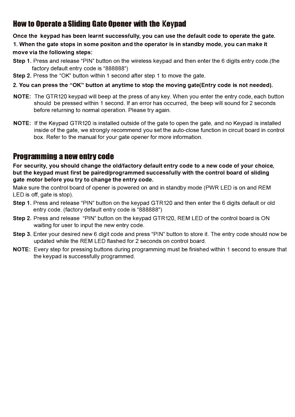#### **How to Operate a Sliding Gate Opener with the Keypad**

**Once the keypad has been learnt successfully, you can use the default code to operate the gate.** 

**1. When the gate stops in some positon and the operator is in standby mode, you can make it move via the following steps:**

- **Step 1.**  Press and release "PIN" button on the wireless keypad and then enter the 6 digits entry code.(the factory default entry code is "888888")
- **Step 2.**  Press the "OK" button within 1 second after step 1 to move the gate.

#### **2. You can press the "OK" button at anytime to stop the moving gate(Entry code is not needed).**

- **NOTE:**  The GTR120 keypad will beep at the press of any key. When you enter the entry code, each button should be pressed within 1 second. If an error has occurred, the beep will sound for 2 seconds before returning to normal operation. Please try again.
- **NOTE:**  If the Keypad GTR120 is installed outside of the gate to open the gate, and no Keypad is installed inside of the gate, we strongly recommend you set the auto-close function in circuit board in control box. Refer to the manual for your gate opener for more information.

#### **Programming a new entrv code**

**For security, you should change the old/factory default entry code to a new code of your choice, but the keypad must first be paired/programmed successfully with the control board of sliding gate motor before you try to change the entry code.** 

Make sure the control board of opener is powered on and in standby mode (PWR LED is on and REM LED is off, gate is stop).

- **Step 1.**  Press and release "PIN" button on the keypad GTR120 and then enter the 6 digits default or old entry code. (factory default entry code is "888888")
- **Step 2.**  Press and release "PIN" button on the keypad GTR120, REM LED of the control board is ON waiting for user to input the new entry code.
- **Step 3.**  Enter your desired new 6 digit code and press "PIN" button to store it. The entry code should now be updated while the REM LED flashed for 2 seconds on control board.
- **NOTE:**  Every step for pressing buttons during programming must be finished within 1 second to ensure that the keypad is successfully programmed.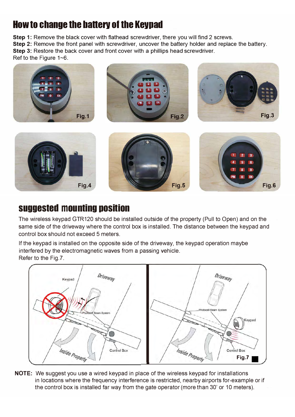### **How to change the battery of the Keypad**

**Step 1:** Remove the black cover with flathead screwdriver, there you will find 2 screws.

**Step 2:** Remove the front panel with screwdriver, uncover the battery holder and replace the battery.

**Step 3:** Restore the back cover and front cover with a phillips head screwdriver.

Ref to the Figure 1~6.



### **suggested mounting position**

The wireless keypad GTR120 should be installed outside of the property (Pull to Open) and on the same side of the driveway where the control box is installed. The distance between the keypad and control box should not exceed 5 meters.

If the keypad is installed on the opposite side of the driveway, the keypad operation maybe interfered by the electromagnetic waves from a passing vehicle. Refer to the Fig.?.



**NOTE:** We suggest you use a wired keypad in place of the wireless keypad for installations in locations where the frequency interference is restricted, nearby airports for-example or if the control box is installed far way from the gate operator (more than 30' or 10 meters).